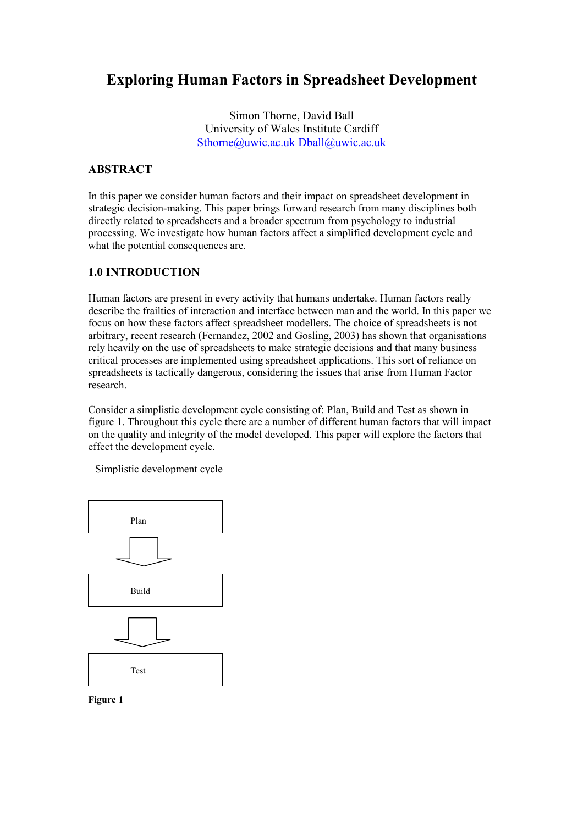# Exploring Human Factors in Spreadsheet Development

Simon Thorne, David Ball University of Wales Institute Cardiff Sthorne@uwic.ac.uk Dball@uwic.ac.uk

### ABSTRACT

In this paper we consider human factors and their impact on spreadsheet development in strategic decision-making. This paper brings forward research from many disciplines both directly related to spreadsheets and a broader spectrum from psychology to industrial processing. We investigate how human factors affect a simplified development cycle and what the potential consequences are.

### 1.0 INTRODUCTION

Human factors are present in every activity that humans undertake. Human factors really describe the frailties of interaction and interface between man and the world. In this paper we focus on how these factors affect spreadsheet modellers. The choice of spreadsheets is not arbitrary, recent research (Fernandez, 2002 and Gosling, 2003) has shown that organisations rely heavily on the use of spreadsheets to make strategic decisions and that many business critical processes are implemented using spreadsheet applications. This sort of reliance on spreadsheets is tactically dangerous, considering the issues that arise from Human Factor research.

Consider a simplistic development cycle consisting of: Plan, Build and Test as shown in figure 1. Throughout this cycle there are a number of different human factors that will impact on the quality and integrity of the model developed. This paper will explore the factors that effect the development cycle.

Simplistic development cycle



Figure 1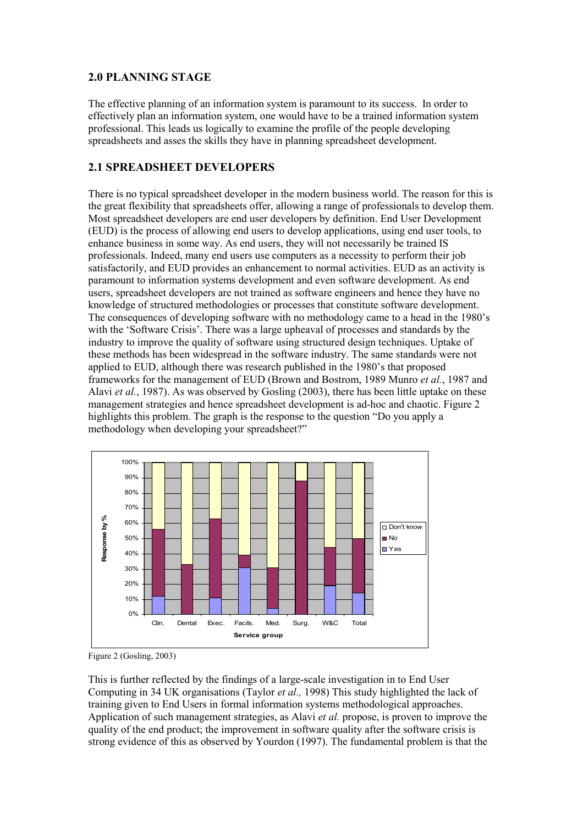### 2.0 PLANNING STAGE

The effective planning of an information system is paramount to its success. In order to effectively plan an information system, one would have to be a trained information system professional. This leads us logically to examine the profile of the people developing spreadsheets and asses the skills they have in planning spreadsheet development.

### 2.1 SPREADSHEET DEVELOPERS

There is no typical spreadsheet developer in the modern business world. The reason for this is the great flexibility that spreadsheets offer, allowing a range of professionals to develop them. Most spreadsheet developers are end user developers by definition. End User Development (EUD) is the process of allowing end users to develop applications, using end user tools, to enhance business in some way. As end users, they will not necessarily be trained IS professionals. Indeed, many end users use computers as a necessity to perform their job satisfactorily, and EUD provides an enhancement to normal activities. EUD as an activity is paramount to information systems development and even software development. As end users, spreadsheet developers are not trained as software engineers and hence they have no knowledge of structured methodologies or processes that constitute software development. The consequences of developing software with no methodology came to a head in the 1980's with the 'Software Crisis'. There was a large upheaval of processes and standards by the industry to improve the quality of software using structured design techniques. Uptake of these methods has been widespread in the software industry. The same standards were not applied to EUD, although there was research published in the 1980's that proposed frameworks for the management of EUD (Brown and Bostrom, 1989 Munro et al., 1987 and Alavi et al., 1987). As was observed by Gosling (2003), there has been little uptake on these management strategies and hence spreadsheet development is ad-hoc and chaotic. Figure 2 highlights this problem. The graph is the response to the question "Do you apply a methodology when developing your spreadsheet?"



Figure 2 (Gosling, 2003)

This is further reflected by the findings of a large-scale investigation in to End User Computing in 34 UK organisations (Taylor et al., 1998) This study highlighted the lack of training given to End Users in formal information systems methodological approaches. Application of such management strategies, as Alavi *et al.* propose, is proven to improve the quality of the end product; the improvement in software quality after the software crisis is strong evidence of this as observed by Yourdon (1997). The fundamental problem is that the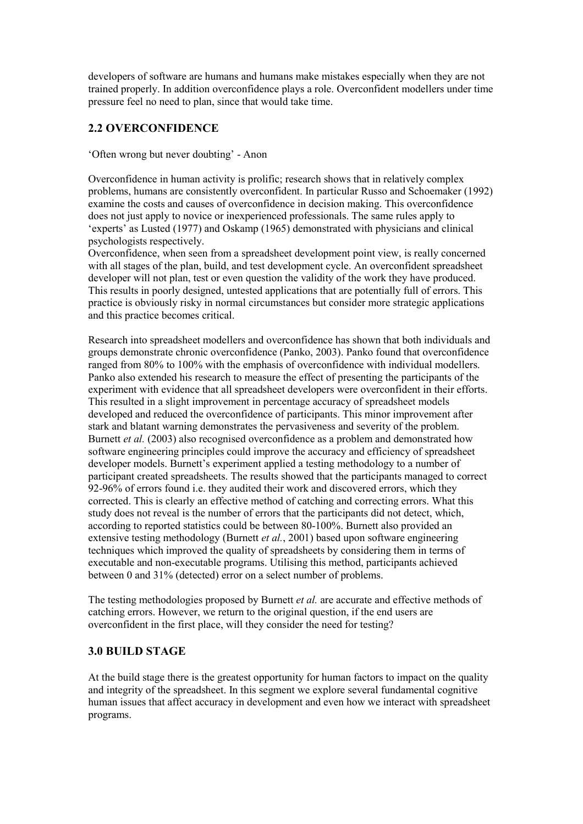developers of software are humans and humans make mistakes especially when they are not trained properly. In addition overconfidence plays a role. Overconfident modellers under time pressure feel no need to plan, since that would take time.

### 2.2 OVERCONFIDENCE

'Often wrong but never doubting' - Anon

Overconfidence in human activity is prolific; research shows that in relatively complex problems, humans are consistently overconfident. In particular Russo and Schoemaker (1992) examine the costs and causes of overconfidence in decision making. This overconfidence does not just apply to novice or inexperienced professionals. The same rules apply to 'experts' as Lusted (1977) and Oskamp (1965) demonstrated with physicians and clinical psychologists respectively.

Overconfidence, when seen from a spreadsheet development point view, is really concerned with all stages of the plan, build, and test development cycle. An overconfident spreadsheet developer will not plan, test or even question the validity of the work they have produced. This results in poorly designed, untested applications that are potentially full of errors. This practice is obviously risky in normal circumstances but consider more strategic applications and this practice becomes critical.

Research into spreadsheet modellers and overconfidence has shown that both individuals and groups demonstrate chronic overconfidence (Panko, 2003). Panko found that overconfidence ranged from 80% to 100% with the emphasis of overconfidence with individual modellers. Panko also extended his research to measure the effect of presenting the participants of the experiment with evidence that all spreadsheet developers were overconfident in their efforts. This resulted in a slight improvement in percentage accuracy of spreadsheet models developed and reduced the overconfidence of participants. This minor improvement after stark and blatant warning demonstrates the pervasiveness and severity of the problem. Burnett *et al.* (2003) also recognised overconfidence as a problem and demonstrated how software engineering principles could improve the accuracy and efficiency of spreadsheet developer models. Burnett's experiment applied a testing methodology to a number of participant created spreadsheets. The results showed that the participants managed to correct 92-96% of errors found i.e. they audited their work and discovered errors, which they corrected. This is clearly an effective method of catching and correcting errors. What this study does not reveal is the number of errors that the participants did not detect, which, according to reported statistics could be between 80-100%. Burnett also provided an extensive testing methodology (Burnett *et al.*, 2001) based upon software engineering techniques which improved the quality of spreadsheets by considering them in terms of executable and non-executable programs. Utilising this method, participants achieved between 0 and 31% (detected) error on a select number of problems.

The testing methodologies proposed by Burnett *et al.* are accurate and effective methods of catching errors. However, we return to the original question, if the end users are overconfident in the first place, will they consider the need for testing?

### 3.0 BUILD STAGE

At the build stage there is the greatest opportunity for human factors to impact on the quality and integrity of the spreadsheet. In this segment we explore several fundamental cognitive human issues that affect accuracy in development and even how we interact with spreadsheet programs.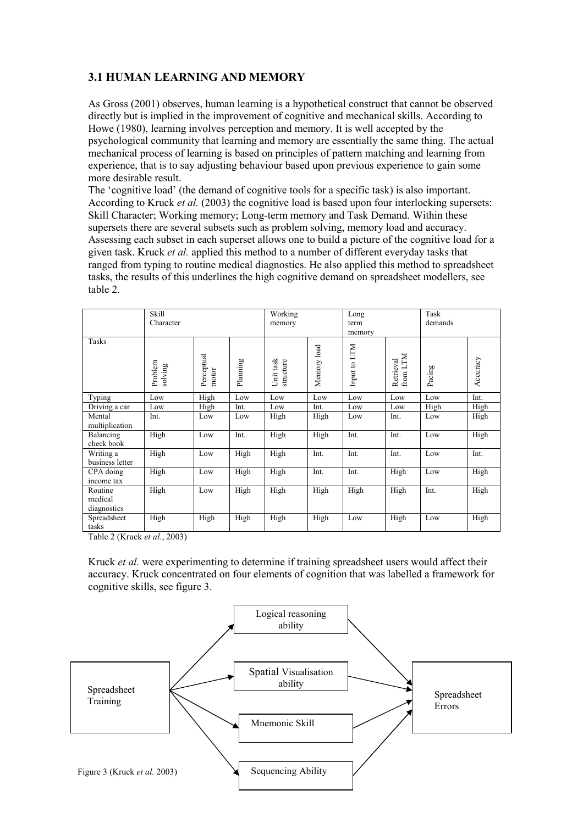## 3.1 HUMAN LEARNING AND MEMORY

As Gross (2001) observes, human learning is a hypothetical construct that cannot be observed directly but is implied in the improvement of cognitive and mechanical skills. According to Howe (1980), learning involves perception and memory. It is well accepted by the psychological community that learning and memory are essentially the same thing. The actual mechanical process of learning is based on principles of pattern matching and learning from experience, that is to say adjusting behaviour based upon previous experience to gain some more desirable result.

The 'cognitive load' (the demand of cognitive tools for a specific task) is also important. According to Kruck *et al.* (2003) the cognitive load is based upon four interlocking supersets: Skill Character; Working memory; Long-term memory and Task Demand. Within these supersets there are several subsets such as problem solving, memory load and accuracy. Assessing each subset in each superset allows one to build a picture of the cognitive load for a given task. Kruck et al. applied this method to a number of different everyday tasks that ranged from typing to routine medical diagnostics. He also applied this method to spreadsheet tasks, the results of this underlines the high cognitive demand on spreadsheet modellers, see table 2.

|                                   | Skill<br>Character |                     | Working<br>memory |                        | Long<br>term<br>memory |              | Task<br>demands       |        |          |
|-----------------------------------|--------------------|---------------------|-------------------|------------------------|------------------------|--------------|-----------------------|--------|----------|
| Tasks                             | Problem<br>solving | Perceptual<br>motor | Planning          | Unit task<br>structure | Memory load            | Input to LTM | from LTM<br>Retrieval | Pacing | Accuracy |
| Typing                            | Low                | High                | Low               | Low                    | Low                    | Low          | Low                   | Low    | Int.     |
| Driving a car                     | Low                | High                | Int.              | Low                    | Int.                   | Low          | Low                   | High   | High     |
| Mental<br>multiplication          | Int.               | Low                 | Low               | High                   | High                   | Low          | Int.                  | Low    | High     |
| Balancing<br>check book           | High               | Low                 | Int.              | High                   | High                   | Int.         | Int.                  | Low    | High     |
| Writing a<br>business letter      | High               | Low                 | High              | High                   | Int.                   | Int.         | Int.                  | Low    | Int.     |
| CPA doing<br>income tax           | High               | Low                 | High              | High                   | Int.                   | Int.         | High                  | Low    | High     |
| Routine<br>medical<br>diagnostics | High               | Low                 | High              | High                   | High                   | High         | High                  | Int.   | High     |
| Spreadsheet<br>tasks              | High               | High                | High              | High                   | High                   | Low          | High                  | Low    | High     |

Table 2 (Kruck et al., 2003)

Kruck et al. were experimenting to determine if training spreadsheet users would affect their accuracy. Kruck concentrated on four elements of cognition that was labelled a framework for cognitive skills, see figure 3.

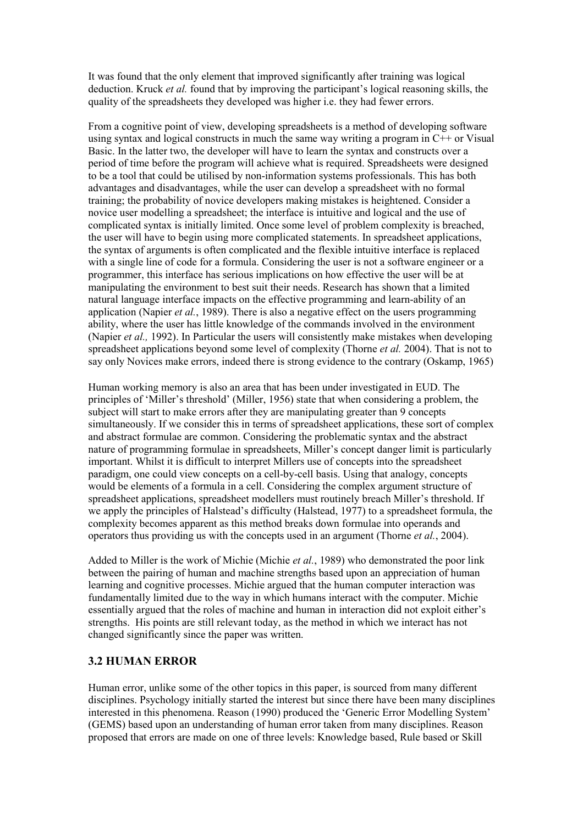It was found that the only element that improved significantly after training was logical deduction. Kruck *et al.* found that by improving the participant's logical reasoning skills, the quality of the spreadsheets they developed was higher i.e. they had fewer errors.

From a cognitive point of view, developing spreadsheets is a method of developing software using syntax and logical constructs in much the same way writing a program in C++ or Visual Basic. In the latter two, the developer will have to learn the syntax and constructs over a period of time before the program will achieve what is required. Spreadsheets were designed to be a tool that could be utilised by non-information systems professionals. This has both advantages and disadvantages, while the user can develop a spreadsheet with no formal training; the probability of novice developers making mistakes is heightened. Consider a novice user modelling a spreadsheet; the interface is intuitive and logical and the use of complicated syntax is initially limited. Once some level of problem complexity is breached, the user will have to begin using more complicated statements. In spreadsheet applications, the syntax of arguments is often complicated and the flexible intuitive interface is replaced with a single line of code for a formula. Considering the user is not a software engineer or a programmer, this interface has serious implications on how effective the user will be at manipulating the environment to best suit their needs. Research has shown that a limited natural language interface impacts on the effective programming and learn-ability of an application (Napier *et al.*, 1989). There is also a negative effect on the users programming ability, where the user has little knowledge of the commands involved in the environment (Napier et al., 1992). In Particular the users will consistently make mistakes when developing spreadsheet applications beyond some level of complexity (Thorne *et al.* 2004). That is not to say only Novices make errors, indeed there is strong evidence to the contrary (Oskamp, 1965)

Human working memory is also an area that has been under investigated in EUD. The principles of 'Miller's threshold' (Miller, 1956) state that when considering a problem, the subject will start to make errors after they are manipulating greater than 9 concepts simultaneously. If we consider this in terms of spreadsheet applications, these sort of complex and abstract formulae are common. Considering the problematic syntax and the abstract nature of programming formulae in spreadsheets, Miller's concept danger limit is particularly important. Whilst it is difficult to interpret Millers use of concepts into the spreadsheet paradigm, one could view concepts on a cell-by-cell basis. Using that analogy, concepts would be elements of a formula in a cell. Considering the complex argument structure of spreadsheet applications, spreadsheet modellers must routinely breach Miller's threshold. If we apply the principles of Halstead's difficulty (Halstead, 1977) to a spreadsheet formula, the complexity becomes apparent as this method breaks down formulae into operands and operators thus providing us with the concepts used in an argument (Thorne et al., 2004).

Added to Miller is the work of Michie (Michie et al., 1989) who demonstrated the poor link between the pairing of human and machine strengths based upon an appreciation of human learning and cognitive processes. Michie argued that the human computer interaction was fundamentally limited due to the way in which humans interact with the computer. Michie essentially argued that the roles of machine and human in interaction did not exploit either's strengths. His points are still relevant today, as the method in which we interact has not changed significantly since the paper was written.

### 3.2 HUMAN ERROR

Human error, unlike some of the other topics in this paper, is sourced from many different disciplines. Psychology initially started the interest but since there have been many disciplines interested in this phenomena. Reason (1990) produced the 'Generic Error Modelling System' (GEMS) based upon an understanding of human error taken from many disciplines. Reason proposed that errors are made on one of three levels: Knowledge based, Rule based or Skill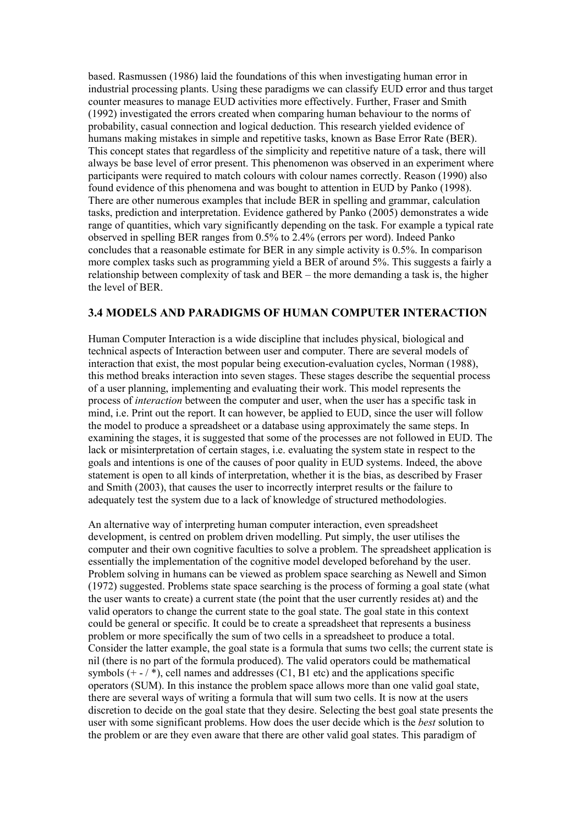based. Rasmussen (1986) laid the foundations of this when investigating human error in industrial processing plants. Using these paradigms we can classify EUD error and thus target counter measures to manage EUD activities more effectively. Further, Fraser and Smith (1992) investigated the errors created when comparing human behaviour to the norms of probability, casual connection and logical deduction. This research yielded evidence of humans making mistakes in simple and repetitive tasks, known as Base Error Rate (BER). This concept states that regardless of the simplicity and repetitive nature of a task, there will always be base level of error present. This phenomenon was observed in an experiment where participants were required to match colours with colour names correctly. Reason (1990) also found evidence of this phenomena and was bought to attention in EUD by Panko (1998). There are other numerous examples that include BER in spelling and grammar, calculation tasks, prediction and interpretation. Evidence gathered by Panko (2005) demonstrates a wide range of quantities, which vary significantly depending on the task. For example a typical rate observed in spelling BER ranges from 0.5% to 2.4% (errors per word). Indeed Panko concludes that a reasonable estimate for BER in any simple activity is 0.5%. In comparison more complex tasks such as programming yield a BER of around 5%. This suggests a fairly a relationship between complexity of task and BER – the more demanding a task is, the higher the level of BER.

### 3.4 MODELS AND PARADIGMS OF HUMAN COMPUTER INTERACTION

Human Computer Interaction is a wide discipline that includes physical, biological and technical aspects of Interaction between user and computer. There are several models of interaction that exist, the most popular being execution-evaluation cycles, Norman (1988), this method breaks interaction into seven stages. These stages describe the sequential process of a user planning, implementing and evaluating their work. This model represents the process of interaction between the computer and user, when the user has a specific task in mind, i.e. Print out the report. It can however, be applied to EUD, since the user will follow the model to produce a spreadsheet or a database using approximately the same steps. In examining the stages, it is suggested that some of the processes are not followed in EUD. The lack or misinterpretation of certain stages, i.e. evaluating the system state in respect to the goals and intentions is one of the causes of poor quality in EUD systems. Indeed, the above statement is open to all kinds of interpretation, whether it is the bias, as described by Fraser and Smith (2003), that causes the user to incorrectly interpret results or the failure to adequately test the system due to a lack of knowledge of structured methodologies.

An alternative way of interpreting human computer interaction, even spreadsheet development, is centred on problem driven modelling. Put simply, the user utilises the computer and their own cognitive faculties to solve a problem. The spreadsheet application is essentially the implementation of the cognitive model developed beforehand by the user. Problem solving in humans can be viewed as problem space searching as Newell and Simon (1972) suggested. Problems state space searching is the process of forming a goal state (what the user wants to create) a current state (the point that the user currently resides at) and the valid operators to change the current state to the goal state. The goal state in this context could be general or specific. It could be to create a spreadsheet that represents a business problem or more specifically the sum of two cells in a spreadsheet to produce a total. Consider the latter example, the goal state is a formula that sums two cells; the current state is nil (there is no part of the formula produced). The valid operators could be mathematical symbols  $(+ - / *)$ , cell names and addresses  $(C1, B1$  etc) and the applications specific operators (SUM). In this instance the problem space allows more than one valid goal state, there are several ways of writing a formula that will sum two cells. It is now at the users discretion to decide on the goal state that they desire. Selecting the best goal state presents the user with some significant problems. How does the user decide which is the best solution to the problem or are they even aware that there are other valid goal states. This paradigm of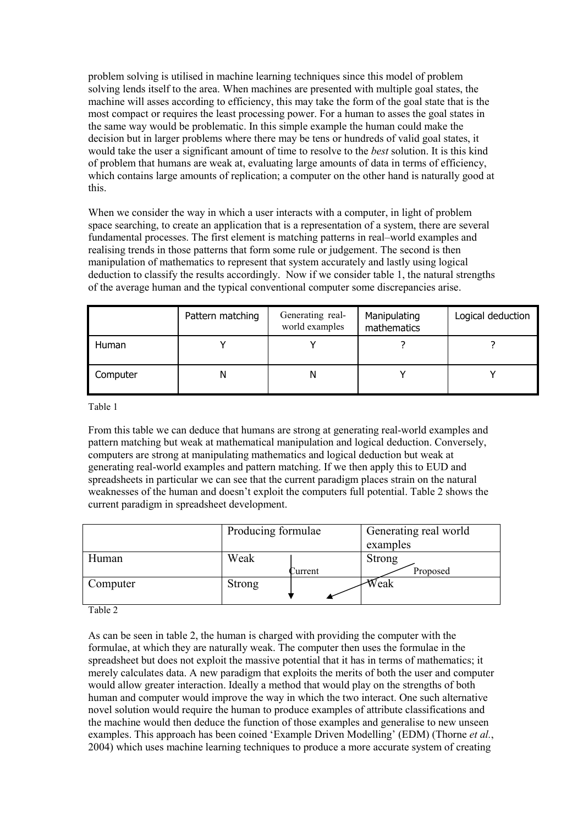problem solving is utilised in machine learning techniques since this model of problem solving lends itself to the area. When machines are presented with multiple goal states, the machine will asses according to efficiency, this may take the form of the goal state that is the most compact or requires the least processing power. For a human to asses the goal states in the same way would be problematic. In this simple example the human could make the decision but in larger problems where there may be tens or hundreds of valid goal states, it would take the user a significant amount of time to resolve to the *best* solution. It is this kind of problem that humans are weak at, evaluating large amounts of data in terms of efficiency, which contains large amounts of replication; a computer on the other hand is naturally good at this.

When we consider the way in which a user interacts with a computer, in light of problem space searching, to create an application that is a representation of a system, there are several fundamental processes. The first element is matching patterns in real–world examples and realising trends in those patterns that form some rule or judgement. The second is then manipulation of mathematics to represent that system accurately and lastly using logical deduction to classify the results accordingly. Now if we consider table 1, the natural strengths of the average human and the typical conventional computer some discrepancies arise.

|          | Pattern matching | Generating real-<br>world examples | Manipulating<br>mathematics | Logical deduction |
|----------|------------------|------------------------------------|-----------------------------|-------------------|
| Human    |                  |                                    |                             |                   |
| Computer | Ν                |                                    |                             |                   |

Table 1

From this table we can deduce that humans are strong at generating real-world examples and pattern matching but weak at mathematical manipulation and logical deduction. Conversely, computers are strong at manipulating mathematics and logical deduction but weak at generating real-world examples and pattern matching. If we then apply this to EUD and spreadsheets in particular we can see that the current paradigm places strain on the natural weaknesses of the human and doesn't exploit the computers full potential. Table 2 shows the current paradigm in spreadsheet development.

|          | Producing formulae |         | Generating real world |  |
|----------|--------------------|---------|-----------------------|--|
|          |                    |         | examples              |  |
| Human    | Weak               |         | <b>Strong</b>         |  |
|          |                    | Current | Proposed              |  |
| Computer | Strong             |         | Weak                  |  |
|          |                    |         |                       |  |

Table 2

As can be seen in table 2, the human is charged with providing the computer with the formulae, at which they are naturally weak. The computer then uses the formulae in the spreadsheet but does not exploit the massive potential that it has in terms of mathematics; it merely calculates data. A new paradigm that exploits the merits of both the user and computer would allow greater interaction. Ideally a method that would play on the strengths of both human and computer would improve the way in which the two interact. One such alternative novel solution would require the human to produce examples of attribute classifications and the machine would then deduce the function of those examples and generalise to new unseen examples. This approach has been coined 'Example Driven Modelling' (EDM) (Thorne *et al.*, 2004) which uses machine learning techniques to produce a more accurate system of creating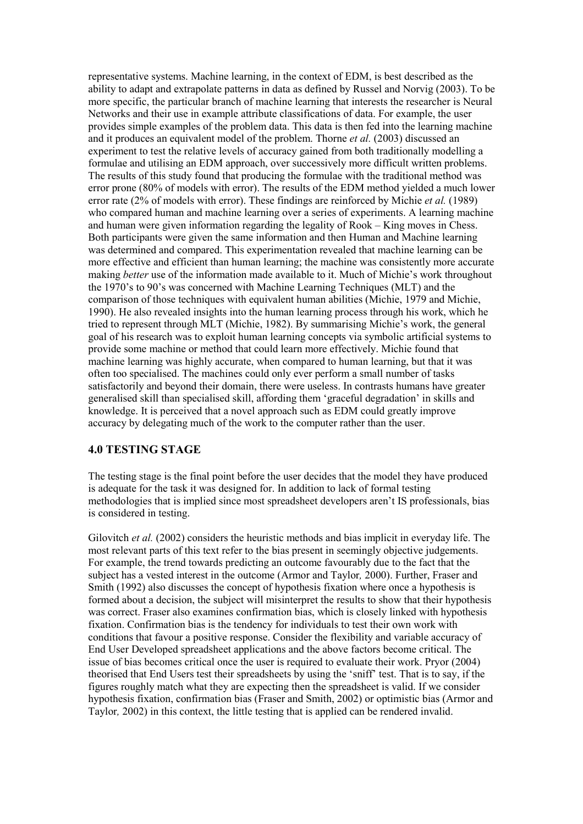representative systems. Machine learning, in the context of EDM, is best described as the ability to adapt and extrapolate patterns in data as defined by Russel and Norvig (2003). To be more specific, the particular branch of machine learning that interests the researcher is Neural Networks and their use in example attribute classifications of data. For example, the user provides simple examples of the problem data. This data is then fed into the learning machine and it produces an equivalent model of the problem. Thorne et al. (2003) discussed an experiment to test the relative levels of accuracy gained from both traditionally modelling a formulae and utilising an EDM approach, over successively more difficult written problems. The results of this study found that producing the formulae with the traditional method was error prone (80% of models with error). The results of the EDM method yielded a much lower error rate  $(2\%$  of models with error). These findings are reinforced by Michie *et al.* (1989) who compared human and machine learning over a series of experiments. A learning machine and human were given information regarding the legality of Rook – King moves in Chess. Both participants were given the same information and then Human and Machine learning was determined and compared. This experimentation revealed that machine learning can be more effective and efficient than human learning; the machine was consistently more accurate making *better* use of the information made available to it. Much of Michie's work throughout the 1970's to 90's was concerned with Machine Learning Techniques (MLT) and the comparison of those techniques with equivalent human abilities (Michie, 1979 and Michie, 1990). He also revealed insights into the human learning process through his work, which he tried to represent through MLT (Michie, 1982). By summarising Michie's work, the general goal of his research was to exploit human learning concepts via symbolic artificial systems to provide some machine or method that could learn more effectively. Michie found that machine learning was highly accurate, when compared to human learning, but that it was often too specialised. The machines could only ever perform a small number of tasks satisfactorily and beyond their domain, there were useless. In contrasts humans have greater generalised skill than specialised skill, affording them 'graceful degradation' in skills and knowledge. It is perceived that a novel approach such as EDM could greatly improve accuracy by delegating much of the work to the computer rather than the user.

### 4.0 TESTING STAGE

The testing stage is the final point before the user decides that the model they have produced is adequate for the task it was designed for. In addition to lack of formal testing methodologies that is implied since most spreadsheet developers aren't IS professionals, bias is considered in testing.

Gilovitch et al. (2002) considers the heuristic methods and bias implicit in everyday life. The most relevant parts of this text refer to the bias present in seemingly objective judgements. For example, the trend towards predicting an outcome favourably due to the fact that the subject has a vested interest in the outcome (Armor and Taylor, 2000). Further, Fraser and Smith (1992) also discusses the concept of hypothesis fixation where once a hypothesis is formed about a decision, the subject will misinterpret the results to show that their hypothesis was correct. Fraser also examines confirmation bias, which is closely linked with hypothesis fixation. Confirmation bias is the tendency for individuals to test their own work with conditions that favour a positive response. Consider the flexibility and variable accuracy of End User Developed spreadsheet applications and the above factors become critical. The issue of bias becomes critical once the user is required to evaluate their work. Pryor (2004) theorised that End Users test their spreadsheets by using the 'sniff' test. That is to say, if the figures roughly match what they are expecting then the spreadsheet is valid. If we consider hypothesis fixation, confirmation bias (Fraser and Smith, 2002) or optimistic bias (Armor and Taylor, 2002) in this context, the little testing that is applied can be rendered invalid.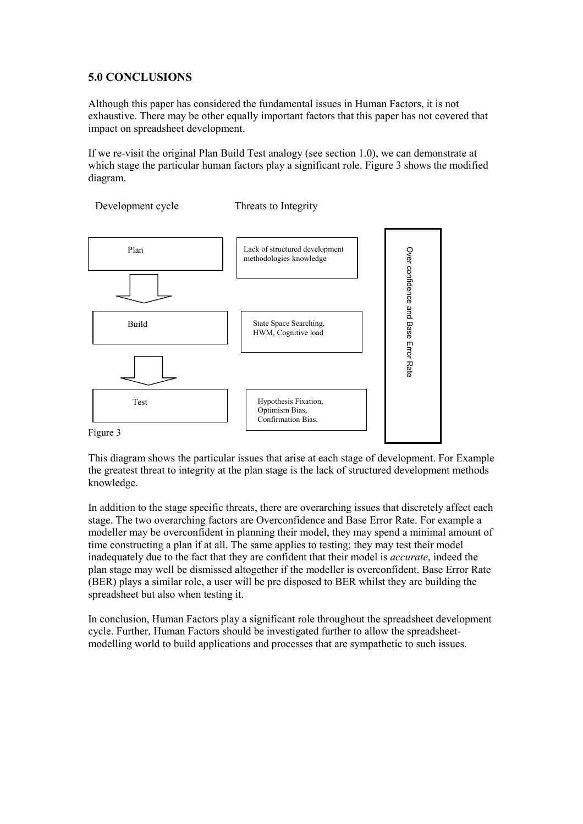### 5.0 CONCLUSIONS

Although this paper has considered the fundamental issues in Human Factors, it is not exhaustive. There may be other equally important factors that this paper has not covered that impact on spreadsheet development.

If we re-visit the original Plan Build Test analogy (see section 1.0), we can demonstrate at which stage the particular human factors play a significant role. Figure 3 shows the modified diagram.

Development cycle Threats to Integrity



This diagram shows the particular issues that arise at each stage of development. For Example the greatest threat to integrity at the plan stage is the lack of structured development methods knowledge.

In addition to the stage specific threats, there are overarching issues that discretely affect each stage. The two overarching factors are Overconfidence and Base Error Rate. For example a modeller may be overconfident in planning their model, they may spend a minimal amount of time constructing a plan if at all. The same applies to testing; they may test their model inadequately due to the fact that they are confident that their model is *accurate*, indeed the plan stage may well be dismissed altogether if the modeller is overconfident. Base Error Rate (BER) plays a similar role, a user will be pre disposed to BER whilst they are building the spreadsheet but also when testing it.

In conclusion, Human Factors play a significant role throughout the spreadsheet development cycle. Further, Human Factors should be investigated further to allow the spreadsheetmodelling world to build applications and processes that are sympathetic to such issues.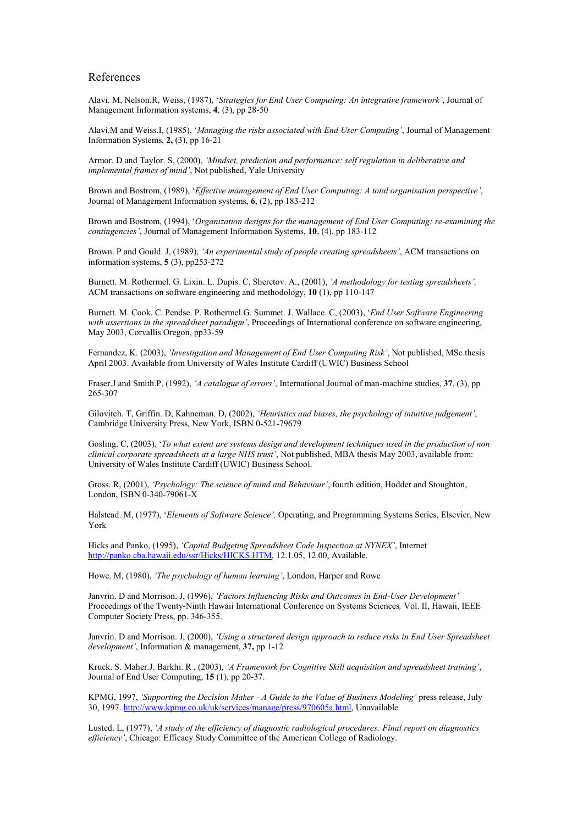#### References

Alavi. M, Nelson.R, Weiss, (1987), 'Strategies for End User Computing: An integrative framework', Journal of Management Information systems, 4, (3), pp 28-50

Alavi.M and Weiss.I, (1985), 'Managing the risks associated with End User Computing', Journal of Management Information Systems,  $2$ ,  $(3)$ , pp 16-21

Armor. D and Taylor. S, (2000), 'Mindset, prediction and performance: self regulation in deliberative and implemental frames of mind', Not published, Yale University

Brown and Bostrom, (1989), 'Effective management of End User Computing: A total organisation perspective', Journal of Management Information systems, 6, (2), pp 183-212

Brown and Bostrom, (1994), 'Organization designs for the management of End User Computing: re-examining the contingencies', Journal of Management Information Systems, 10, (4), pp 183-112

Brown. P and Gould. J, (1989), 'An experimental study of people creating spreadsheets', ACM transactions on information systems, 5 (3), pp253-272

Burnett. M. Rothermel. G. Lixin. L. Dupis. C, Sheretov. A., (2001), 'A methodology for testing spreadsheets', ACM transactions on software engineering and methodology, 10 (1), pp 110-147

Burnett. M. Cook. C. Pendse. P. Rothermel.G. Summet. J. Wallace. C, (2003), 'End User Software Engineering with assertions in the spreadsheet paradigm', Proceedings of International conference on software engineering, May 2003, Corvallis Oregon, pp33-59

Fernandez, K. (2003), 'Investigation and Management of End User Computing Risk', Not published, MSc thesis April 2003. Available from University of Wales Institute Cardiff (UWIC) Business School

Fraser.J and Smith.P, (1992), 'A catalogue of errors', International Journal of man-machine studies, 37, (3), pp 265-307

Gilovitch. T, Griffin. D, Kahneman. D, (2002), 'Heuristics and biases, the psychology of intuitive judgement', Cambridge University Press, New York, ISBN 0-521-79679

Gosling. C, (2003), 'To what extent are systems design and development techniques used in the production of non clinical corporate spreadsheets at a large NHS trust', Not published, MBA thesis May 2003, available from: University of Wales Institute Cardiff (UWIC) Business School.

Gross. R, (2001), 'Psychology: The science of mind and Behaviour', fourth edition, Hodder and Stoughton, London, ISBN 0-340-79061-X

Halstead. M, (1977), 'Elements of Software Science', Operating, and Programming Systems Series, Elsevier, New York

Hicks and Panko, (1995), 'Capital Budgeting Spreadsheet Code Inspection at NYNEX', Internet http://panko.cba.hawaii.edu/ssr/Hicks/HICKS.HTM, 12.1.05, 12.00, Available.

Howe. M, (1980), 'The psychology of human learning', London, Harper and Rowe

Janvrin. D and Morrison. J, (1996), 'Factors Influencing Risks and Outcomes in End-User Development' Proceedings of the Twenty-Ninth Hawaii International Conference on Systems Sciences, Vol. II, Hawaii, IEEE Computer Society Press, pp. 346-355.

Janvrin. D and Morrison. J, (2000), 'Using a structured design approach to reduce risks in End User Spreadsheet development', Information & management, 37, pp 1-12

Kruck. S. Maher.J. Barkhi. R , (2003), 'A Framework for Cognitive Skill acquisition and spreadsheet training', Journal of End User Computing, 15 (1), pp 20-37.

KPMG, 1997, 'Supporting the Decision Maker - A Guide to the Value of Business Modeling' press release, July 30, 1997. http://www.kpmg.co.uk/uk/services/manage/press/970605a.html, Unavailable

Lusted. L, (1977), 'A study of the efficiency of diagnostic radiological procedures: Final report on diagnostics efficiency', Chicago: Efficacy Study Committee of the American College of Radiology.